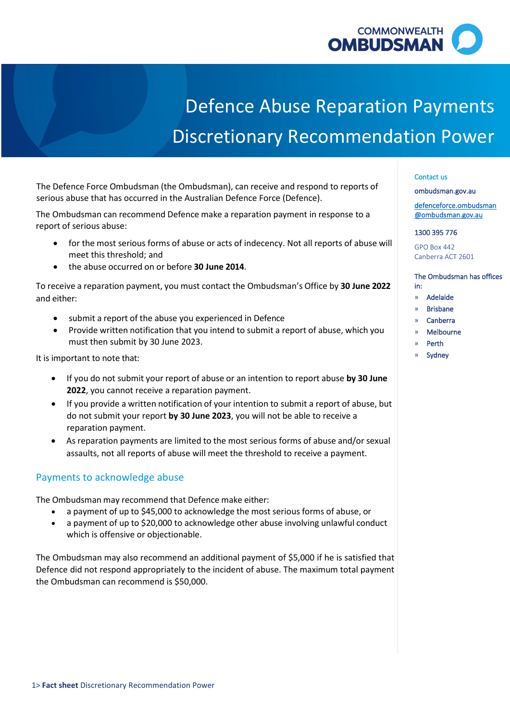

# Defence Abuse Reparation Payments Discretionary Recommendation Power

 The Defence Force Ombudsman (the Ombudsman), can receive and respond to reports of serious abuse that has occurred in the Australian Defence Force (Defence).

 The Ombudsman can recommend Defence make a reparation payment in response to a report of serious abuse:

- • for the most serious forms of abuse or acts of indecency. Not all reports of abuse will meet this threshold; and
- the abuse occurred on or before **30 June 2014**.

 To receive a reparation payment, you must contact the Ombudsman's Office by **30 June 2022**  and either:

- submit a report of the abuse you experienced in Defence
- • Provide written notification that you intend to submit a report of abuse, which you must then submit by 30 June 2023.

It is important to note that:

- • If you do not submit your report of abuse or an intention to report abuse **by 30 June 2022**, you cannot receive a reparation payment.
- • If you provide a written notification of your intention to submit a report of abuse, but do not submit your report **by 30 June 2023**, you will not be able to receive a reparation payment.
- • As reparation payments are limited to the most serious forms of abuse and/or sexual assaults, not all reports of abuse will meet the threshold to receive a payment.

### Payments to acknowledge abuse

The Ombudsman may recommend that Defence make either:

- a payment of up to \$45,000 to acknowledge the most serious forms of abuse, or
- • a payment of up to \$20,000 to acknowledge other abuse involving unlawful conduct which is offensive or objectionable.

 The Ombudsman may also recommend an additional payment of \$5,000 if he is satisfied that Defence did not respond appropriately to the incident of abuse. The maximum total payment the Ombudsman can recommend is \$50,000.

#### Contact us

[ombudsman.gov.au](http://www.ombudsman.gov.au/) 

[defenceforce.ombudsman](mailto:defenceforce.ombudsman@ombudsman.gov.au)  [@ombudsman.gov.au](mailto:defenceforce.ombudsman@ombudsman.gov.au) 

#### 1300 395 776

GPO Box 442 Canberra ACT 2601

The Ombudsman has offices

» Adelaide

in:

- » Brisbane
- » Canberra
- » Melbourne
- » Perth
- » Sydney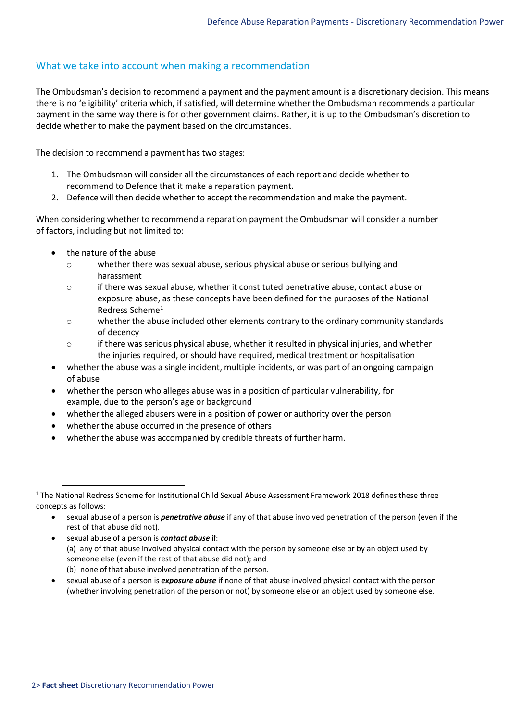## What we take into account when making a recommendation

 The Ombudsman's decision to recommend a payment and the payment amount is a discretionary decision. This means there is no 'eligibility' criteria which, if satisfied, will determine whether the Ombudsman recommends a particular payment in the same way there is for other government claims. Rather, it is up to the Ombudsman's discretion to decide whether to make the payment based on the circumstances.

The decision to recommend a payment has two stages:

- 1. The Ombudsman will consider all the circumstances of each report and decide whether to recommend to Defence that it make a reparation payment.
- 2. Defence will then decide whether to accept the recommendation and make the payment.

 When considering whether to recommend a reparation payment the Ombudsman will consider a number of factors, including but not limited to:

- • the nature of the abuse
	- o whether there was sexual abuse, serious physical abuse or serious bullying and harassment
	- $\circ$  if there was sexual abuse, whether it constituted penetrative abuse, contact abuse or exposure abuse, as these concepts have been defined for the purposes of the National Redress Scheme<sup>1</sup>
	- o whether the abuse included other elements contrary to the ordinary community standards of decency
	- $\circ$  if there was serious physical abuse, whether it resulted in physical injuries, and whether the injuries required, or should have required, medical treatment or hospitalisation
- • whether the abuse was a single incident, multiple incidents, or was part of an ongoing campaign of abuse
- • whether the person who alleges abuse was in a position of particular vulnerability, for example, due to the person's age or background
- whether the alleged abusers were in a position of power or authority over the person
- whether the abuse occurred in the presence of others
- whether the abuse was accompanied by credible threats of further harm.

 • sexual abuse of a person is *exposure abuse* if none of that abuse involved physical contact with the person (whether involving penetration of the person or not) by someone else or an object used by someone else.

<span id="page-1-0"></span> $1$  The National Redress Scheme for Institutional Child Sexual Abuse Assessment Framework 2018 defines these three concepts as follows:

 • sexual abuse of a person is *penetrative abuse* if any of that abuse involved penetration of the person (even if the rest of that abuse did not).

 • sexual abuse of a person is *contact abuse* if: (a) any of that abuse involved physical contact with the person by someone else or by an object used by (b) none of that abuse involved penetration of the person. someone else (even if the rest of that abuse did not); and